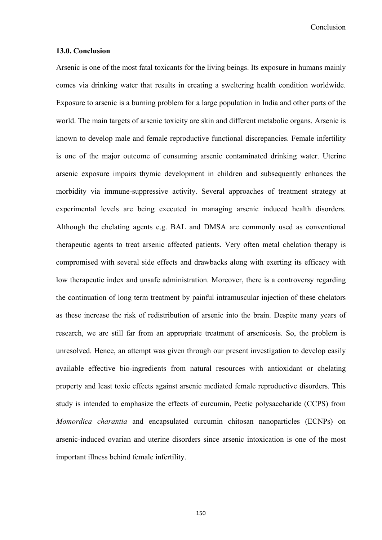**Conclusion** 

## **13.0. Conclusion**

Arsenic is one of the most fatal toxicants for the living beings. Its exposure in humans mainly comes via drinking water that results in creating a sweltering health condition worldwide. Exposure to arsenic is a burning problem for a large population in India and other parts of the world. The main targets of arsenic toxicity are skin and different metabolic organs. Arsenic is known to develop male and female reproductive functional discrepancies. Female infertility is one of the major outcome of consuming arsenic contaminated drinking water. Uterine arsenic exposure impairs thymic development in children and subsequently enhances the morbidity via immune-suppressive activity. Several approaches of treatment strategy at experimental levels are being executed in managing arsenic induced health disorders. Although the chelating agents e.g. BAL and DMSA are commonly used as conventional therapeutic agents to treat arsenic affected patients. Very often metal chelation therapy is compromised with several side effects and drawbacks along with exerting its efficacy with low therapeutic index and unsafe administration. Moreover, there is a controversy regarding the continuation of long term treatment by painful intramuscular injection of these chelators as these increase the risk of redistribution of arsenic into the brain. Despite many years of research, we are still far from an appropriate treatment of arsenicosis. So, the problem is unresolved. Hence, an attempt was given through our present investigation to develop easily available effective bio-ingredients from natural resources with antioxidant or chelating property and least toxic effects against arsenic mediated female reproductive disorders. This study is intended to emphasize the effects of curcumin, Pectic polysaccharide (CCPS) from *Momordica charantia* and encapsulated curcumin chitosan nanoparticles (ECNPs) on arsenic-induced ovarian and uterine disorders since arsenic intoxication is one of the most important illness behind female infertility.

150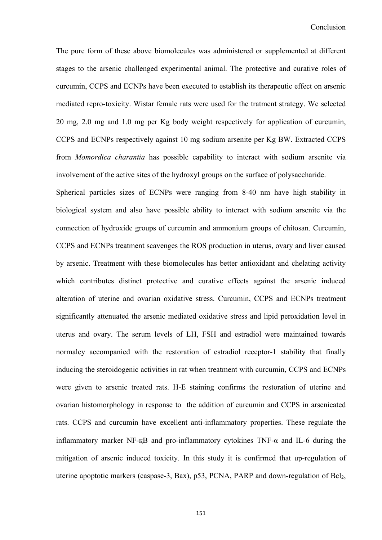The pure form of these above biomolecules was administered or supplemented at different stages to the arsenic challenged experimental animal. The protective and curative roles of curcumin, CCPS and ECNPs have been executed to establish its therapeutic effect on arsenic mediated repro-toxicity. Wistar female rats were used for the tratment strategy. We selected 20 mg, 2.0 mg and 1.0 mg per Kg body weight respectively for application of curcumin, CCPS and ECNPs respectively against 10 mg sodium arsenite per Kg BW. Extracted CCPS from *Momordica charantia* has possible capability to interact with sodium arsenite via involvement of the active sites of the hydroxyl groups on the surface of polysaccharide.

Spherical particles sizes of ECNPs were ranging from 8-40 nm have high stability in biological system and also have possible ability to interact with sodium arsenite via the connection of hydroxide groups of curcumin and ammonium groups of chitosan. Curcumin, CCPS and ECNPs treatment scavenges the ROS production in uterus, ovary and liver caused by arsenic. Treatment with these biomolecules has better antioxidant and chelating activity which contributes distinct protective and curative effects against the arsenic induced alteration of uterine and ovarian oxidative stress. Curcumin, CCPS and ECNPs treatment significantly attenuated the arsenic mediated oxidative stress and lipid peroxidation level in uterus and ovary. The serum levels of LH, FSH and estradiol were maintained towards normalcy accompanied with the restoration of estradiol receptor-1 stability that finally inducing the steroidogenic activities in rat when treatment with curcumin, CCPS and ECNPs were given to arsenic treated rats. H-E staining confirms the restoration of uterine and ovarian histomorphology in response to the addition of curcumin and CCPS in arsenicated rats. CCPS and curcumin have excellent anti-inflammatory properties. These regulate the inflammatory marker NF-қB and pro-inflammatory cytokines TNF-α and IL-6 during the mitigation of arsenic induced toxicity. In this study it is confirmed that up-regulation of uterine apoptotic markers (caspase-3, Bax), p53, PCNA, PARP and down-regulation of Bcl<sub>2</sub>,

151